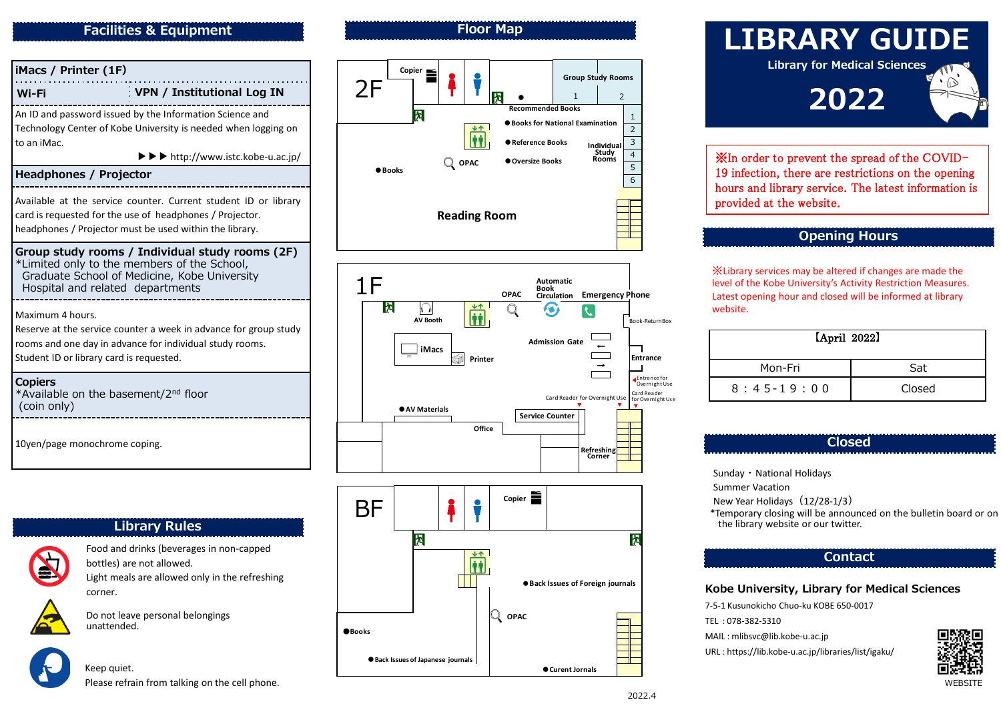#### **Facilities & Equipment**



## **Library Rules**



Food and drinks (beverages in non -capped bottles) are not allowed . Light meals are allowed only in the refreshing corner.

Do not leave personal belongings unattended.

Keep quiet.

## **Floor Map**



## **LIBRARY GUIDE Library for Medical Sciences 2022**

※In order to prevent the spread of the COVID - 19 infection, there are restrictions on the opening hours and library service. The latest information is provided at the website.

#### **Opening Hours**

※Library services may be altered if changes are made the level of the Kobe University's Activity Restriction Measures. Latest opening hour and closed will be informed at library website.

| [April 2022] |        |  |
|--------------|--------|--|
| Mon-Fri      | Sat    |  |
| $8:45-19:00$ | Closed |  |

#### **Closed**

Sunday ・National Holidays

Summer Vacation

New Year Holidays (12/28-1/3)

\*Temporary closing will be announced on the bulletin board or on the library website or our twitter.

#### **Kobe University, Library for Medical Sciences**

7-5-1 Kusunokicho Chuo-ku KOBE 650-0017

TEL : 078 -382 -5310

MAIL : mlibsvc@lib.kobe -u.ac.jp

URL : https://lib.kobe -u.ac.jp/libraries/list/igaku/



Please refrain from talking on the cell phone. WEBSITE